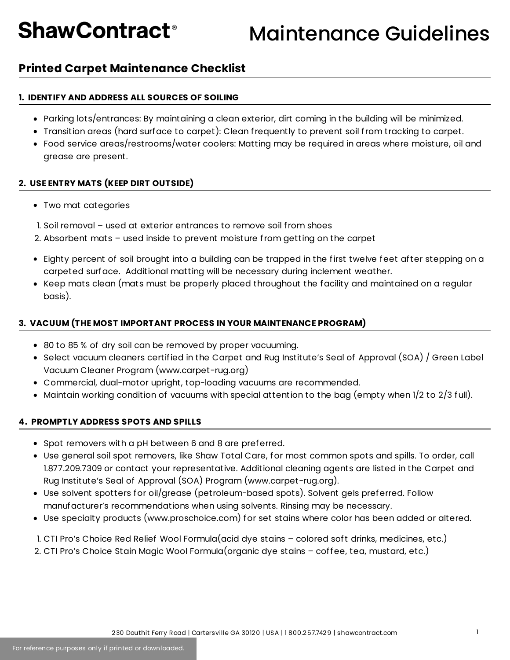## **ShawContract<sup>®</sup>**

### Maintenance Guidelines

### **Printed Carpet Maintenance Checklist**

#### **1. IDENTIFY AND ADDRESS ALL SOURCES OF SOILING**

- Parking lots/entrances: By maintaining a clean exterior, dirt coming in the building will be minimized.
- Transition areas (hard surface to carpet): Clean frequently to prevent soil from tracking to carpet.
- Food service areas/restrooms/water coolers: Matting may be required in areas where moisture, oil and grease are present.

#### **2. USE ENTRY MATS (KEEP DIRT OUTSIDE)**

- Two mat categories
- 1. Soil removal used at exterior entrances to remove soil from shoes
- 2. Absorbent mats used inside to prevent moisture from getting on the carpet
- Eighty percent of soil brought into a building can be trapped in the first twelve feet after stepping on a carpeted surface. Additional matting will be necessary during inclement weather.
- Keep mats clean (mats must be properly placed throughout the facility and maintained on a regular basis).

#### **3. VACUUM (THE MOST IMPORTANT PROCESS IN YOUR MAINTENANCE PROGRAM)**

- 80 to 85 % of dry soil can be removed by proper vacuuming.
- Select vacuum cleaners certified in the Carpet and Rug Institute's Seal of Approval (SOA) / Green Label Vacuum Cleaner Program (www.carpet-rug.org)
- Commercial, dual-motor upright, top-loading vacuums are recommended.
- $\bullet$  Maintain working condition of vacuums with special attention to the bag (empty when 1/2 to 2/3 full).

#### **4. PROMPTLY ADDRESS SPOTS AND SPILLS**

- Spot removers with a pH between 6 and 8 are preferred.
- Use general soil spot removers, like Shaw Total Care, for most common spots and spills. To order, call 1.877.209.7309 or contact your representative. Additional cleaning agents are listed in the Carpet and Rug Institute's Seal of Approval (SOA) Program (www.carpet-rug.org).
- Use solvent spotters for oil/grease (petroleum-based spots). Solvent gels preferred. Follow manufacturer's recommendations when using solvents. Rinsing may be necessary.
- Use specialty products (www.proschoice.com) for set stains where color has been added or altered.

1. CTI Pro's Choice Red Relief Wool Formula(acid dye stains – colored soft drinks, medicines, etc.) 2. CTI Pro's Choice Stain Magic Wool Formula(organic dye stains – coffee, tea, mustard, etc.)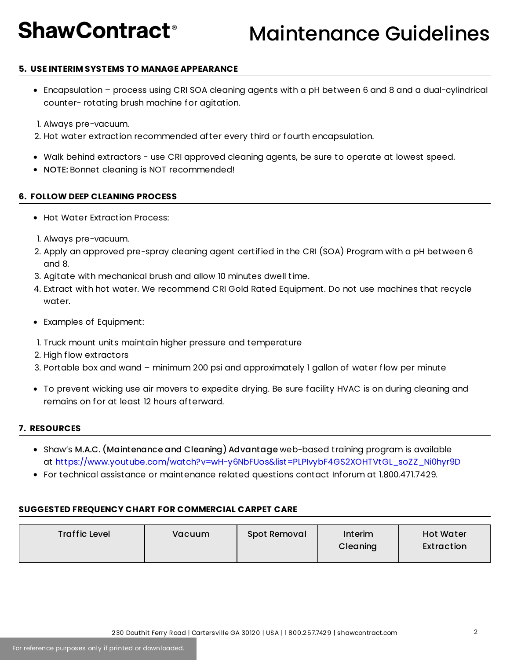## **ShawContract<sup>®</sup>**

### Maintenance Guidelines

#### **5. USE INTERIM SYSTEMS TO MANAGE APPEARANCE**

- Encapsulation process using CRI SOA cleaning agents with a pH between 6 and 8 and a dual-cylindrical counter- rotating brush machine for agitation.
- 1. Always pre-vacuum.
- 2. Hot water extraction recommended after every third or fourth encapsulation.
- Walk behind extractors use CRI approved cleaning agents, be sure to operate at lowest speed.
- NOTE: Bonnet cleaning is NOT recommended!

#### **6. FOLLOW DEEP CLEANING PROCESS**

- Hot Water Extraction Process:
- 1. Always pre-vacuum.
- 2. Apply an approved pre-spray cleaning agent certified in the CRI (SOA) Program with a pH between 6 and 8.
- 3. Agitate with mechanical brush and allow 10 minutes dwell time.
- 4. Extract with hot water. We recommend CRI Gold Rated Equipment. Do not use machines that recycle water.
- Examples of Equipment:
- 1. Truck mount units maintain higher pressure and temperature
- 2. High flow extractors
- 3. Portable box and wand minimum 200 psi and approximately 1 gallon of water flow per minute
- To prevent wicking use air movers to expedite drying. Be sure facility HVAC is on during cleaning and remains on for at least 12 hours afterward.

#### **7. RESOURCES**

- Shaw's M.A.C. (Maintenance and Cleaning) Advantage web-based training program is available at [https://www.youtube.com/watch?v=wH-y6NbFUos&list=PLPIvybF4GS2XOHTVtGL\\_soZZ\\_Ni0hyr9D](https://www.youtube.com/watch?v=wH-y6NbFUos&list=PLPIvybF4GS2XOHTVtGL_soZZ_Ni0hyr9D)
- For technical assistance or maintenance related questions contact Inforum at 1.800.471.7429.

#### **SUGGESTED FREQUENCY CHART FOR COMMERCIAL CARPET CARE**

| <b>Traffic Level</b> | Vacuum | Spot Removal | Interim<br>Cleaning | <b>Hot Water</b><br>Extraction |
|----------------------|--------|--------------|---------------------|--------------------------------|
|----------------------|--------|--------------|---------------------|--------------------------------|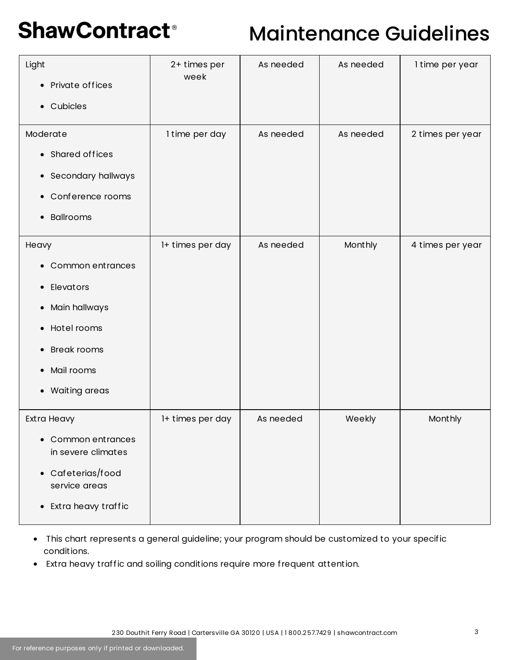# **ShawContract®**

### Maintenance Guidelines

| Light<br>• Private offices<br>Cubicles<br>$\bullet$                                                                                                                                                                           | 2+ times per<br>week | As needed | As needed | I time per year  |
|-------------------------------------------------------------------------------------------------------------------------------------------------------------------------------------------------------------------------------|----------------------|-----------|-----------|------------------|
| Moderate<br>• Shared offices<br>Secondary hallways<br>$\bullet$<br>Conference rooms<br>$\bullet$<br><b>Ballrooms</b><br>$\bullet$                                                                                             | I time per day       | As needed | As needed | 2 times per year |
| Heavy<br>Common entrances<br>$\bullet$<br>Elevators<br>$\bullet$<br>Main hallways<br>$\bullet$<br>Hotel rooms<br>$\bullet$<br><b>Break rooms</b><br>$\bullet$<br>Mail rooms<br>$\bullet$<br><b>Waiting areas</b><br>$\bullet$ | 1+ times per day     | As needed | Monthly   | 4 times per year |
| Extra Heavy<br>Common entrances<br>$\bullet$<br>in severe climates<br>• Cafeterias/food<br>service areas<br>Extra heavy traffic<br>$\bullet$                                                                                  | 1+ times per day     | As needed | Weekly    | Monthly          |

- This chart represents a general guideline; your program should be customized to your specific conditions.
- Extra heavy traffic and soiling conditions require more frequent attention.